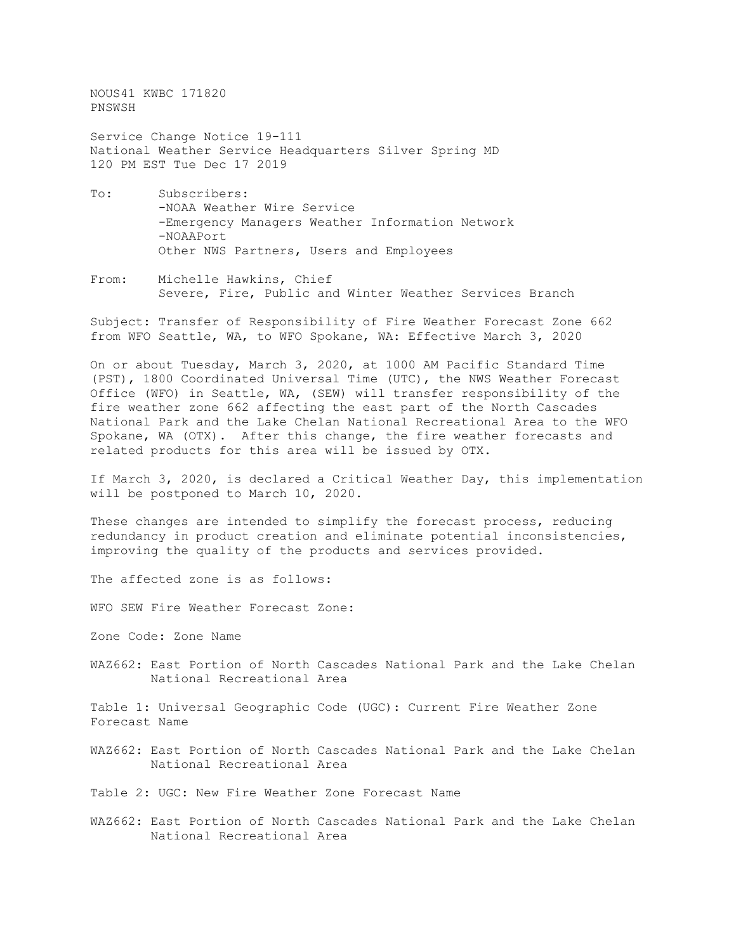NOUS41 KWBC 171820 PNSWSH

Service Change Notice 19-111 National Weather Service Headquarters Silver Spring MD 120 PM EST Tue Dec 17 2019

- To: Subscribers: -NOAA Weather Wire Service -Emergency Managers Weather Information Network -NOAAPort Other NWS Partners, Users and Employees
- From: Michelle Hawkins, Chief Severe, Fire, Public and Winter Weather Services Branch

Subject: Transfer of Responsibility of Fire Weather Forecast Zone 662 from WFO Seattle, WA, to WFO Spokane, WA: Effective March 3, 2020

On or about Tuesday, March 3, 2020, at 1000 AM Pacific Standard Time (PST), 1800 Coordinated Universal Time (UTC), the NWS Weather Forecast Office (WFO) in Seattle, WA, (SEW) will transfer responsibility of the fire weather zone 662 affecting the east part of the North Cascades National Park and the Lake Chelan National Recreational Area to the WFO Spokane, WA (OTX). After this change, the fire weather forecasts and related products for this area will be issued by OTX.

If March 3, 2020, is declared a Critical Weather Day, this implementation will be postponed to March 10, 2020.

These changes are intended to simplify the forecast process, reducing redundancy in product creation and eliminate potential inconsistencies, improving the quality of the products and services provided.

The affected zone is as follows:

WFO SEW Fire Weather Forecast Zone:

Zone Code: Zone Name

WAZ662: East Portion of North Cascades National Park and the Lake Chelan National Recreational Area

Table 1: Universal Geographic Code (UGC): Current Fire Weather Zone Forecast Name

WAZ662: East Portion of North Cascades National Park and the Lake Chelan National Recreational Area

Table 2: UGC: New Fire Weather Zone Forecast Name

WAZ662: East Portion of North Cascades National Park and the Lake Chelan National Recreational Area